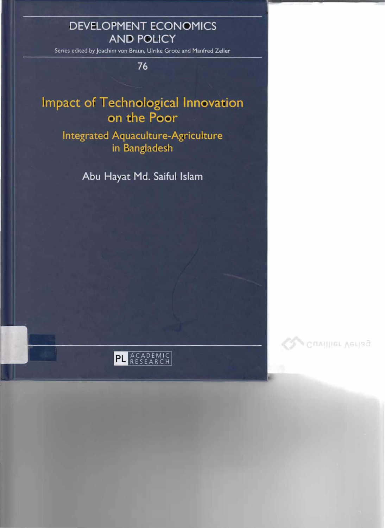## **DEVELOPMENT ECONOMICS AND POLICY**

Series edited by Joachim von Braun, Ulrike Grote and Manfred Zeller

76

# **Impact of Technological Innovation** on the Poor

## **Integrated Aquaculture-Agriculture** in Bangladesh

Abu Hayat Md. Saiful Islam

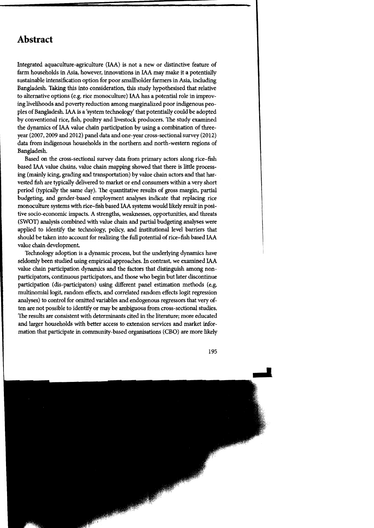#### **Abstract**

Integrated aquaculture-agriculture (IAA) is not a new or distinctive feature of farm households in Asia, however, innovations in IAA may make it a potentially sustainable intensification option for poor smallholder farmers in Asia, induding Bangladesh. Taking this into consideration, this study hypothesised that relative to alternative options (e.g. rice monoculture) IAA has a potential role in improving livelihoods and poverty reduction among marginalized poor indigenous peopIes of Bangladesh. IAA is a 'system technology' that potentially could be adopted by conventional rice, fish, poultry and livestock producers. The study examined the dynamics of IAA value chain participation by using a combination of threeyear (2007, 2009 and 2012) panel data and one-year cross-sectional survey (2012) data from indigenous households in the northern and north-western regions of Bangladesh.

Based on the cross-sectional survey data from primary actors along rice-fish based IAA value chains, value chain mapping showed that there is little processing (mainly icing, grading and transportation) by value chain actors and that harvested fish are typically delivered to market or end consumers within a very short period (typically the same day). The quantitative results of gross margin, partial budgeting, and gender-based employment analyses indicate that replacing rice monoculture systems with rice-fish based IAA systems would likely result in positive socio-economic impacts. A strengths, weaknesses, opportunities, and threats (SWOT) analysis combined with value chain and partial budgeting analyses were applied to identify the technology, policy, and institutional level barriers that should be taken into account for realizing the full potential of rice-fish based IAA value chain development

Technology adoption is a dynamic process, but the underlying dynamics have seldomly been studied using empirical approaches. In contrast, we examined IAA value chain participation dynamics and the factors that distinguish among nonparticipators, continuous participators, and those who begin but later discontinue participation (dis-participators) using different panel estimation methods (e.g. multinomial logit, random effects, and correlated random effects logit regression analyses) to control for omitted variables and endogenous regressors that very often are not possible to identify or may be ambiguous from cross-sectional studies. The results are consistent with determinants cited in the literature; more educated and larger households with better access to extension services and market information that participate in community-based organisations (CBO) are more likely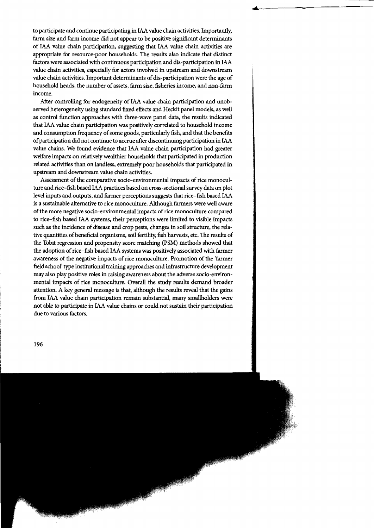to participate and continue participating in IAA value chain activities. Importantly, farm size and farm income did not appear to be positive significant determinants of IAA value chain participation, suggesting that IAA value chain activities are appropriate for resource-poor households. The results also indicate that distinct factors were associated with continuous participation and dis-participation in IAA value chain activities, especially for actors involved in upstream and downstream value chain activities. Important determinants of dis-participation were the age of household heads, the number of assets, farm size, fisheries income, and non-farm income.

After controlling for endogeneity of IAA value chain participation and unobserved heterogeneity using standard fixed effects and Heckit panel models, as weil as control function approaches with three-wave panel data, the results indicated that IAA value chain participation was positively correlated to household income and consumption frequency of some goods, particularly fish, and that the benefits of participation did not continue to accrue after discontinuing participation in IAA value chains. We found evidence that IAA value chain participation had greater welfare impacts on relatively wealthier households that participated in production related activities than on landless, extremely poor households that participated in upstream and downstream value chain activities.

Assessment of the comparative socio-environmental impacts of rice monoculture and rice-fish based IAA practices based on cross-sectional survey data on plot level inputs and outputs, and farmer perceptions suggests that rice-fish based IAA is a sustainahle alternative to rice monoculture. Although farmers were weil aware of the more negative socio-environmental impacts of rice monoculture compared to rice-fish based IAA systems, their perceptions were limited to visible impacts such as the incidence of disease and crop pests, changes in soil structure, the relative quantities ofbeneficial organisms, soll fertility, fish harvests, etc. The results of the Tobit regression and propensity score matching (PSM) methods showed that the adoption of rice-fish based IAA systems was positively associated with farmer awareness of the negative impacts of rice monoculture. Promotion of the 'farmer field school' type institutional training approaches and infrastructure development mayalso play positive roles in raising awareness about the adverse socio-environmental impacts of rice monoculture. Overall the study results demand broader attention. A key general message is that, although the results reveal that the gains from IAA value chain participation remain substantial, many smallholders were not ahle to participate in IAA value chains or could not sustain their participation due to various factors.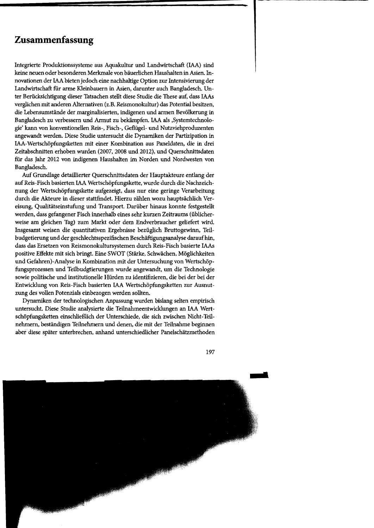#### **Zusammenfassung**

Integrierte Produktionssysteme aus Aquakultur und Landwirtschaft (IAA) sind keine neuen oder besonderen Merkmale von bäuerlichen Haushalten in Asien. Innovationen der IAA bieten jedoch eine nachhaltige Option zur Intensivierung der Landwirtschaft für arme Kleinbauern in Asien, darunter auch Bangladesch. Unter Berücksichtigung dieser Tatsachen stellt diese Studie die These auf, dass !AAs verglichen mit anderen Alternativen (z.B. Reismonokultur) das Potential besitzen, die Lebensumstände der marginalisierten, indigenen und armen Bevölkerung in Bangladesch zu verbessern und Armut zu bekämpfen. IAA als ,Systemtechnologie' kann von konventionellen Reis-, Fisch-, Geflügel- und Nutzviehproduzenten angewandt werden. Diese Studie untersucht die Dynarniken der Partizipation in IAA-Wertschöpfungsketten mit einer Kombination aus Paneldaten, die in drei Zeitabschnitten erhoben wurden (2007, 2008 und 2012), und Querschnittsdaten fiir das Jahr 2012 von indigenen Haushalten im Norden und Nordwesten von Bangladesch.

Auf Grundlage detaillierter Querschnittsdaten der Hauptakteure entlang der aufReis-Fisch basierten IAA Wertschöpfungskette, wurde durch die Nachzeichnung der Wertschöpfungskette aufgezeigt, dass nur eine geringe Verarbeitung durch die Akteure in dieser stattfindet. Hierzu zählen wozu hauptsächlich Vereisung, Qualitätseinstufung und Transport. Darüber hinaus konnte festgestellt werden, dass gefangener Fisch innerhalb eines sehr kurzen Zeitraums (üblicherweise am gleichen Tag) zum Markt oder dem Endverbraucher geliefert wird Insgesamt weisen die quantitativen Ergebnisse bezüglich Bruttogewinn, Teilbudgetierung und der geschlechtsspezifischen Beschäftigungsanalyse daraufhin, dass das Ersetzen von Reismonokultursystemen durch Reis-Fisch basierte !AAs positive Effekte mit sich bringt. Eine SWOT (Stärke, Schwächen, Möglichkeiten und Gefahren)-Analyse in Kombination mit der Untersuchung von Wertschöpfungsprozessen und Teilbudgtierungen wurde angewandt, um die Technologie sowie politische und institutionelle Hürden zu identifizieren, die bei der bei der Entwicklung von Reis-Fisch basierten IAA Wertschöpfungsketten zur Ausnutzung des vollen Potenzials einbezogen werden sollten.

Dynamiken der technologischen Anpassung wurden bislang selten empirisch untersucht. Diese Studie analysierte die Teilnahmeentwicklungen an IAA Wertschöpfungsketten einschließlich der Unterschiede, die sich zwischen Nicht-Teilnehmern, beständigen Teilnehmern und denen, die mit der Teilnahme beginnen aber diese später unterbrechen, anband unterschiedlicher Panelschätzmethoden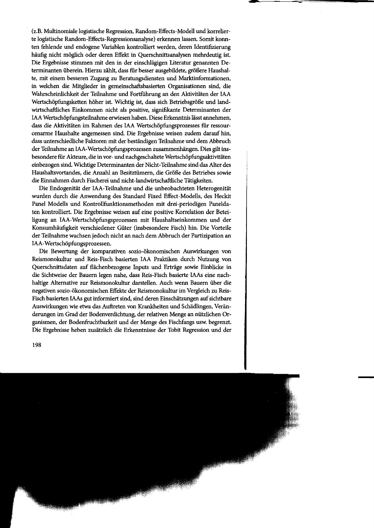(z.B. Multinomiale logistische Regression, Random-Effects-Modell und korrelierte logistische Random-Effects-Regressionsanalyse) erkennen lassen. Somit konnten fehlende und endogene Variablen kontrolliert werden, deren Identifizierung häufig nicht möglich oder deren Effekt in Querschnittsanalysen mehrdeutig ist. Die Ergebnisse stimmen mit den in der einschlägigen Literatur genannten Determinanten überein. Hierzu zählt, dass für besser ausgebildete, größere Haushalte, mit einem besseren Zugang zu Beratungsdiensten und Marktinformationen, in welchen die Mitglieder in gemeinschaftsbasierten Organisationen sind, die Wahrscheinlichkeit der Teilnahme und Fortführung an den Aktivitäten der IAA Wertschöpfungsketten höher ist. Wichtig ist, dass sich Betriebsgröße und landwirtschaftliches Einkommen nicht als positive, signifikante Determinanten der IAA Wertschöpfungsteilnahme erwiesen haben. Diese Erkenntnis lässt annehmen, dass die Aktivitäten im Rahmen des IAA Wertschöpfungsprozesses für ressourcenarme Haushalte angemessen sind. Die Ergebnisse weisen zudem darauf hin, dass unterschiedliche Faktoren mit der beständigen Teilnahme und dem Abbruch der Teilnahme an IAA-Wertschöpfungsprozessen zusammenhängen. Dies gilt insbesondere für Akteure, die in vor- und nachgeschaltete Wertschöpfungsaktivitäten einbezogen sind. Wichtige Determinanten der Nicht-Teilnahme sind das Alter des Haushaltsvortandes, die Anzahl an Besitztümern, die Größe des Betriebes sowie die Einnahmen durch Fischerei und nicht-landwirtschaftliche Tätigkeiten.

Die Endogenität der IAA-Teilnahme und die unbeobachteten Heterogenität wurden durch die Anwendung des Standard Fixed Effect-Modells, des Heckit Panel Modells und Kontrollfunktionsmethoden mit drei-periodigen Paneldaten kontrolliert. Die Ergebnisse weisen auf eine positive Korrelation der Beteiligung an IAA-Wertschöpfungsprozessen mit Haushaltseinkommen und der Konsumhäufigkeit verschiedener Güter (insbesondere Fisch) hin. Die Vorteile der Teilnahme wachsen jedoch nicht an nach dem Abbruch der Partizipation an IAA-Wertschöpfungsprozessen.

Die Bewertung der komparativen sozio-ökonomischen Auswirkungen von Reismonokultur und Reis-Fisch basierten IAA Praktiken durch Nutzung von Querschnittsdaten auf flächenbezogene Inputs und Erträge sowie Einblicke in die Sichtweise der Bauern legen nahe, dass Reis-Fisch basierte !AAs eine nachhaltige Alternative zur Reismonokultur darstellen. Auch wenn Bauern über die negativen sozio-ökonomischen Effekte der Reismonokultur im Vergleich zu Reis-Fisch basierten IAAs gut informiert sind, sind deren Einschätzungen auf sichtbare Auswirkungen wie etwa das Auftreten von Krankheiten und Schädlingen, Veränderungen im Grad der Bodenverdichtung, der relativen Menge an nützlichen Organismen, der Bodenfruchtbarkeit und der Menge des Fischfangs usw. begrenzt. Die Ergebnisse heben zusätzlich die Erkenntnisse der Tobit Regression und der